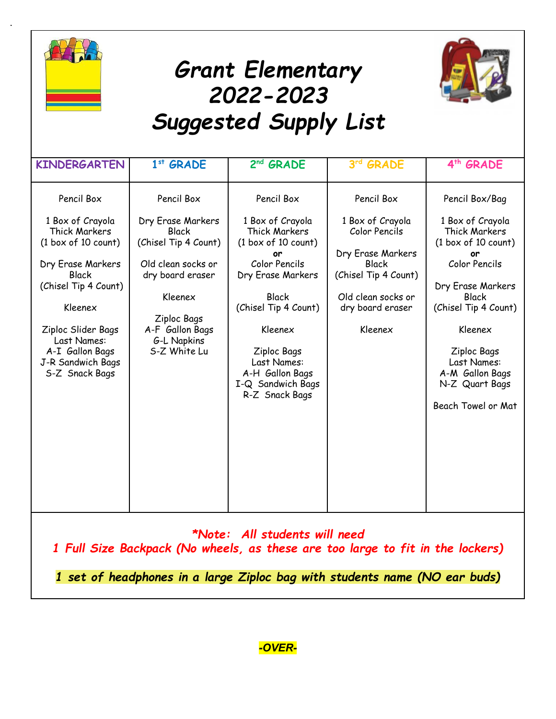

.





| Pencil Box<br>Pencil Box<br>Pencil Box<br>Pencil Box<br>Pencil Box/Bag<br>1 Box of Crayola<br>Dry Erase Markers<br>1 Box of Crayola<br>1 Box of Crayola<br>1 Box of Crayola<br>Thick Markers<br><b>Thick Markers</b><br>Color Pencils<br>Thick Markers<br>Black<br>(1 box of 10 count)<br>(1 box of 10 count)<br>(1 box of 10 count)<br>(Chisel Tip 4 Count)<br>Dry Erase Markers<br>or<br>or<br>Color Pencils<br>Color Pencils<br>Old clean socks or<br>Dry Erase Markers<br>Black<br><b>Black</b><br>dry board eraser<br>Dry Erase Markers<br>(Chisel Tip 4 Count)<br>(Chisel Tip 4 Count)<br>Dry Erase Markers<br><b>Black</b><br>Kleenex<br>Old clean socks or<br><b>Black</b><br>(Chisel Tip 4 Count)<br>(Chisel Tip 4 Count)<br>Kleenex<br>dry board eraser<br>Ziploc Bags<br>A-F Gallon Bags<br>Ziploc Slider Bags<br>Kleenex<br>Kleenex<br>Kleenex<br>Last Names:<br>G-L Napkins<br>S-Z White Lu<br>A-I Gallon Bags<br>Ziploc Bags<br>Ziploc Bags<br>Last Names:<br>Last Names:<br>J-R Sandwich Bags<br>A-M Gallon Bags<br>S-Z Snack Bags<br>A-H Gallon Bags<br>I-Q Sandwich Bags<br>N-Z Quart Bags<br>R-Z Snack Bags<br>Beach Towel or Mat | <b>KINDERGARTEN</b> | 1st GRADE | 2 <sup>nd</sup> GRADE | 3rd GRADE | 4 <sup>th</sup> GRADE |
|-----------------------------------------------------------------------------------------------------------------------------------------------------------------------------------------------------------------------------------------------------------------------------------------------------------------------------------------------------------------------------------------------------------------------------------------------------------------------------------------------------------------------------------------------------------------------------------------------------------------------------------------------------------------------------------------------------------------------------------------------------------------------------------------------------------------------------------------------------------------------------------------------------------------------------------------------------------------------------------------------------------------------------------------------------------------------------------------------------------------------------------------------------|---------------------|-----------|-----------------------|-----------|-----------------------|
|                                                                                                                                                                                                                                                                                                                                                                                                                                                                                                                                                                                                                                                                                                                                                                                                                                                                                                                                                                                                                                                                                                                                                     |                     |           |                       |           |                       |

*\*Note: All students will need*

*1 Full Size Backpack (No wheels, as these are too large to fit in the lockers)*

*1 set of headphones in a large Ziploc bag with students name (NO ear buds)*

*-OVER-*